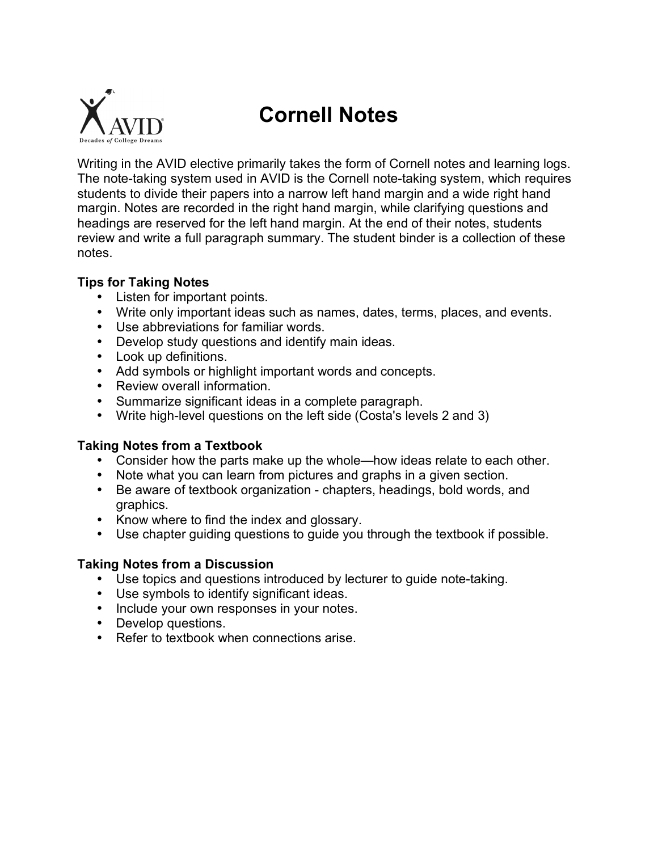

# **Cornell Notes**

Writing in the AVID elective primarily takes the form of Cornell notes and learning logs. The note-taking system used in AVID is the Cornell note-taking system, which requires students to divide their papers into a narrow left hand margin and a wide right hand margin. Notes are recorded in the right hand margin, while clarifying questions and headings are reserved for the left hand margin. At the end of their notes, students review and write a full paragraph summary. The student binder is a collection of these notes.

### **Tips for Taking Notes**

- Listen for important points.
- Write only important ideas such as names, dates, terms, places, and events.
- Use abbreviations for familiar words.
- Develop study questions and identify main ideas.
- Look up definitions.
- Add symbols or highlight important words and concepts.
- Review overall information.
- Summarize significant ideas in a complete paragraph.
- Write high-level questions on the left side (Costa's levels 2 and 3)

## **Taking Notes from a Textbook**

- Consider how the parts make up the whole—how ideas relate to each other.
- Note what you can learn from pictures and graphs in a given section.
- Be aware of textbook organization chapters, headings, bold words, and graphics.
- Know where to find the index and glossary.
- Use chapter guiding questions to guide you through the textbook if possible.

## **Taking Notes from a Discussion**

- Use topics and questions introduced by lecturer to guide note-taking.
- Use symbols to identify significant ideas.
- Include your own responses in your notes.
- Develop questions.
- Refer to textbook when connections arise.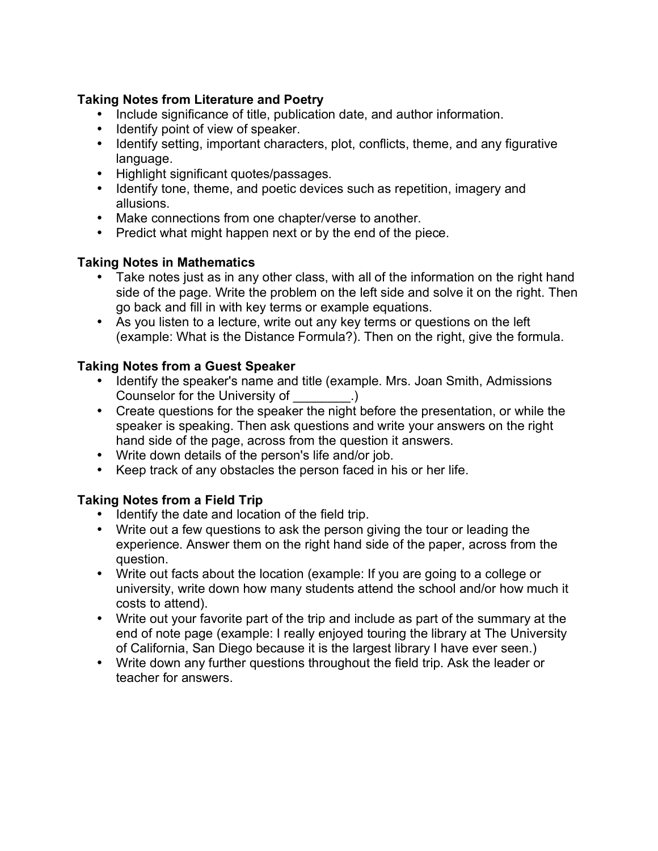## **Taking Notes from Literature and Poetry**

- Include significance of title, publication date, and author information.
- Identify point of view of speaker.
- Identify setting, important characters, plot, conflicts, theme, and any figurative language.
- Highlight significant quotes/passages.
- Identify tone, theme, and poetic devices such as repetition, imagery and allusions.
- Make connections from one chapter/verse to another.
- Predict what might happen next or by the end of the piece.

### **Taking Notes in Mathematics**

- Take notes just as in any other class, with all of the information on the right hand side of the page. Write the problem on the left side and solve it on the right. Then go back and fill in with key terms or example equations.
- As you listen to a lecture, write out any key terms or questions on the left (example: What is the Distance Formula?). Then on the right, give the formula.

## **Taking Notes from a Guest Speaker**

- Identify the speaker's name and title (example. Mrs. Joan Smith, Admissions Counselor for the University of [11] Counselor for the University of [13]  $\qquad$  .)
- Create questions for the speaker the night before the presentation, or while the speaker is speaking. Then ask questions and write your answers on the right hand side of the page, across from the question it answers.
- Write down details of the person's life and/or job.
- Keep track of any obstacles the person faced in his or her life.

## **Taking Notes from a Field Trip**

- Identify the date and location of the field trip.
- Write out a few questions to ask the person giving the tour or leading the experience. Answer them on the right hand side of the paper, across from the question.
- Write out facts about the location (example: If you are going to a college or university, write down how many students attend the school and/or how much it costs to attend).
- Write out your favorite part of the trip and include as part of the summary at the end of note page (example: I really enjoyed touring the library at The University of California, San Diego because it is the largest library I have ever seen.)
- Write down any further questions throughout the field trip. Ask the leader or teacher for answers.